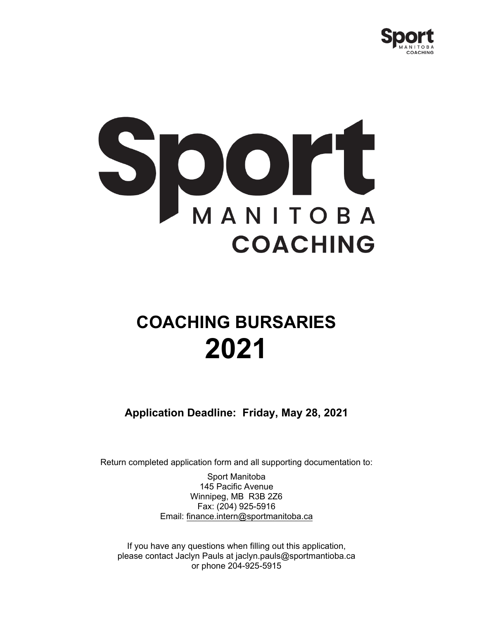



# **COACHING BURSARIES 2021**

**Application Deadline: Friday, May 28, 2021**

Return completed application form and all supporting documentation to:

Sport Manitoba 145 Pacific Avenue Winnipeg, MB R3B 2Z6 Fax: (204) 925-5916 Email: finance.intern@sportmanitoba.ca

If you have any questions when filling out this application, please contact Jaclyn Pauls at jaclyn.pauls@sportmantioba.ca or phone 204-925-5915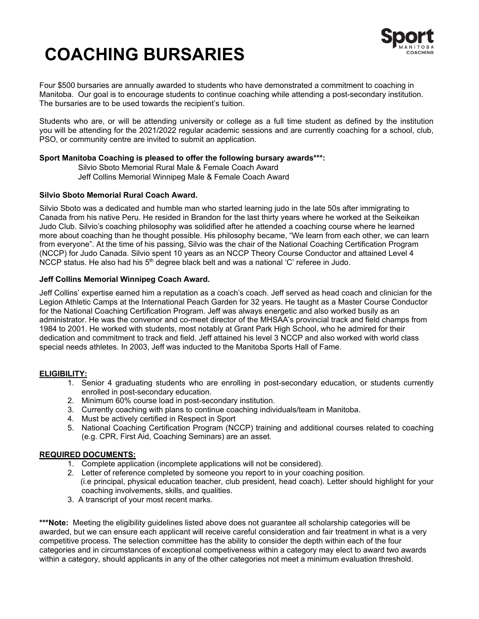# **COACHING BURSARIES**



Four \$500 bursaries are annually awarded to students who have demonstrated a commitment to coaching in Manitoba. Our goal is to encourage students to continue coaching while attending a post-secondary institution. The bursaries are to be used towards the recipient's tuition.

Students who are, or will be attending university or college as a full time student as defined by the institution you will be attending for the 2021/2022 regular academic sessions and are currently coaching for a school, club, PSO, or community centre are invited to submit an application.

#### **Sport Manitoba Coaching is pleased to offer the following bursary awards\*\*\*:**

Silvio Sboto Memorial Rural Male & Female Coach Award Jeff Collins Memorial Winnipeg Male & Female Coach Award

#### **Silvio Sboto Memorial Rural Coach Award.**

Silvio Sboto was a dedicated and humble man who started learning judo in the late 50s after immigrating to Canada from his native Peru. He resided in Brandon for the last thirty years where he worked at the Seikeikan Judo Club. Silvio's coaching philosophy was solidified after he attended a coaching course where he learned more about coaching than he thought possible. His philosophy became, "We learn from each other, we can learn from everyone". At the time of his passing, Silvio was the chair of the National Coaching Certification Program (NCCP) for Judo Canada. Silvio spent 10 years as an NCCP Theory Course Conductor and attained Level 4 NCCP status. He also had his  $5<sup>th</sup>$  degree black belt and was a national 'C' referee in Judo.

#### **Jeff Collins Memorial Winnipeg Coach Award.**

Jeff Collins' expertise earned him a reputation as a coach's coach. Jeff served as head coach and clinician for the Legion Athletic Camps at the International Peach Garden for 32 years. He taught as a Master Course Conductor for the National Coaching Certification Program. Jeff was always energetic and also worked busily as an administrator. He was the convenor and co-meet director of the MHSAA's provincial track and field champs from 1984 to 2001. He worked with students, most notably at Grant Park High School, who he admired for their dedication and commitment to track and field. Jeff attained his level 3 NCCP and also worked with world class special needs athletes. In 2003, Jeff was inducted to the Manitoba Sports Hall of Fame.

#### **ELIGIBILITY:**

- 1. Senior 4 graduating students who are enrolling in post-secondary education, or students currently enrolled in post-secondary education.
- 2. Minimum 60% course load in post-secondary institution.
- 3. Currently coaching with plans to continue coaching individuals/team in Manitoba.
- 4. Must be actively certified in Respect in Sport
- 5. National Coaching Certification Program (NCCP) training and additional courses related to coaching (e.g. CPR, First Aid, Coaching Seminars) are an asset.

#### **REQUIRED DOCUMENTS:**

- 1. Complete application (incomplete applications will not be considered).
- 2. Letter of reference completed by someone you report to in your coaching position. (i.e principal, physical education teacher, club president, head coach). Letter should highlight for your coaching involvements, skills, and qualities.
- 3. A transcript of your most recent marks.

**\*\*\*Note:** Meeting the eligibility guidelines listed above does not guarantee all scholarship categories will be awarded, but we can ensure each applicant will receive careful consideration and fair treatment in what is a very competitive process. The selection committee has the ability to consider the depth within each of the four categories and in circumstances of exceptional competiveness within a category may elect to award two awards within a category, should applicants in any of the other categories not meet a minimum evaluation threshold.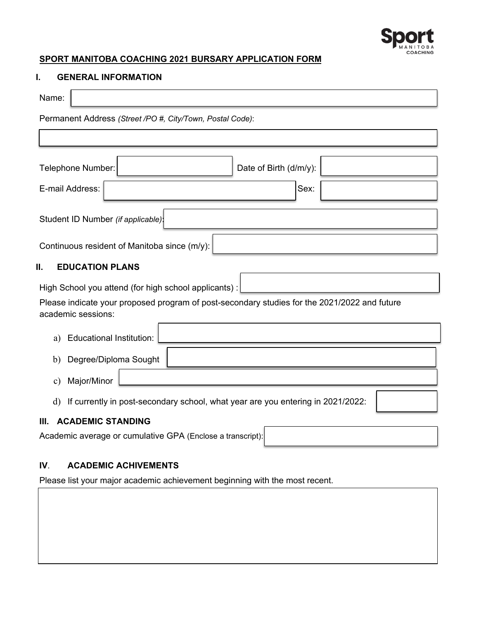

# **SPORT MANITOBA COACHING 2021 BURSARY APPLICATION FORM**

#### **I. GENERAL INFORMATION**

| Name:                                                                                                              |  |  |  |  |  |
|--------------------------------------------------------------------------------------------------------------------|--|--|--|--|--|
| Permanent Address (Street /PO #, City/Town, Postal Code):                                                          |  |  |  |  |  |
|                                                                                                                    |  |  |  |  |  |
| Telephone Number:<br>Date of Birth (d/m/y):                                                                        |  |  |  |  |  |
| E-mail Address:<br>Sex:                                                                                            |  |  |  |  |  |
| Student ID Number (if applicable):                                                                                 |  |  |  |  |  |
| Continuous resident of Manitoba since (m/y):                                                                       |  |  |  |  |  |
| Ш.<br><b>EDUCATION PLANS</b>                                                                                       |  |  |  |  |  |
| High School you attend (for high school applicants):                                                               |  |  |  |  |  |
| Please indicate your proposed program of post-secondary studies for the 2021/2022 and future<br>academic sessions: |  |  |  |  |  |
| <b>Educational Institution:</b><br>a)                                                                              |  |  |  |  |  |
| Degree/Diploma Sought<br>$\mathbf{b}$                                                                              |  |  |  |  |  |
| Major/Minor<br>$\mathbf{c})$                                                                                       |  |  |  |  |  |
| If currently in post-secondary school, what year are you entering in 2021/2022:<br>$\mathbf{d}$                    |  |  |  |  |  |
| <b>ACADEMIC STANDING</b><br>III.                                                                                   |  |  |  |  |  |
| Academic average or cumulative GPA (Enclose a transcript):                                                         |  |  |  |  |  |

# **IV**. **ACADEMIC ACHIVEMENTS**

Please list your major academic achievement beginning with the most recent.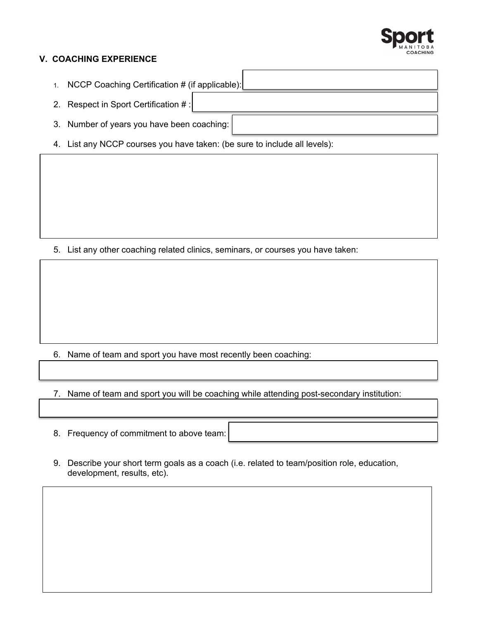

#### **V. COACHING EXPERIENCE**

- 1. NCCP Coaching Certification # (if applicable):
- 2. Respect in Sport Certification # :
- 3. Number of years you have been coaching:
- 4. List any NCCP courses you have taken: (be sure to include all levels):

5. List any other coaching related clinics, seminars, or courses you have taken:

6. Name of team and sport you have most recently been coaching:

7. Name of team and sport you will be coaching while attending post-secondary institution:

- 8. Frequency of commitment to above team:
- 9. Describe your short term goals as a coach (i.e. related to team/position role, education, development, results, etc).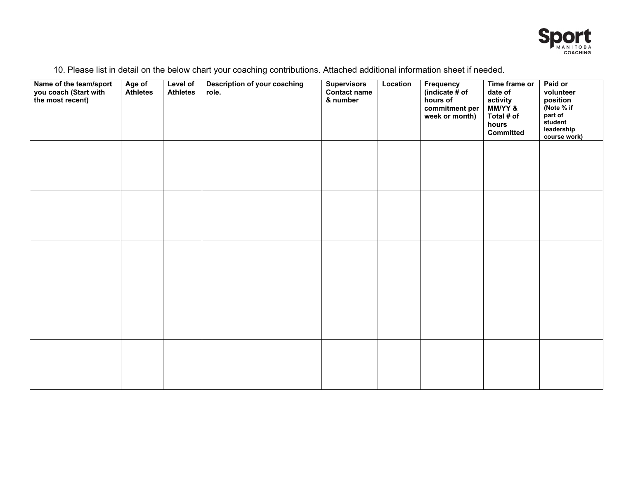

|  | 10. Please list in detail on the below chart your coaching contributions. Attached additional information sheet if needed. |
|--|----------------------------------------------------------------------------------------------------------------------------|
|--|----------------------------------------------------------------------------------------------------------------------------|

| Name of the team/sport<br>you coach (Start with<br>the most recent) | Age of<br>Athletes | Level of<br><b>Athletes</b> | <b>Description of your coaching</b><br>role. | <b>Supervisors</b><br>Contact name<br>& number | Location | Frequency<br>(indicate # of<br>hours of<br>commitment per<br>week or month) | Time frame or<br>date of<br>activity<br>MM/YY &<br>Total # of<br>hours<br>Committed | Paid or<br>volunteer<br>position<br>(Note % if<br>part of<br>student<br>leadership<br>course work) |
|---------------------------------------------------------------------|--------------------|-----------------------------|----------------------------------------------|------------------------------------------------|----------|-----------------------------------------------------------------------------|-------------------------------------------------------------------------------------|----------------------------------------------------------------------------------------------------|
|                                                                     |                    |                             |                                              |                                                |          |                                                                             |                                                                                     |                                                                                                    |
|                                                                     |                    |                             |                                              |                                                |          |                                                                             |                                                                                     |                                                                                                    |
|                                                                     |                    |                             |                                              |                                                |          |                                                                             |                                                                                     |                                                                                                    |
|                                                                     |                    |                             |                                              |                                                |          |                                                                             |                                                                                     |                                                                                                    |
|                                                                     |                    |                             |                                              |                                                |          |                                                                             |                                                                                     |                                                                                                    |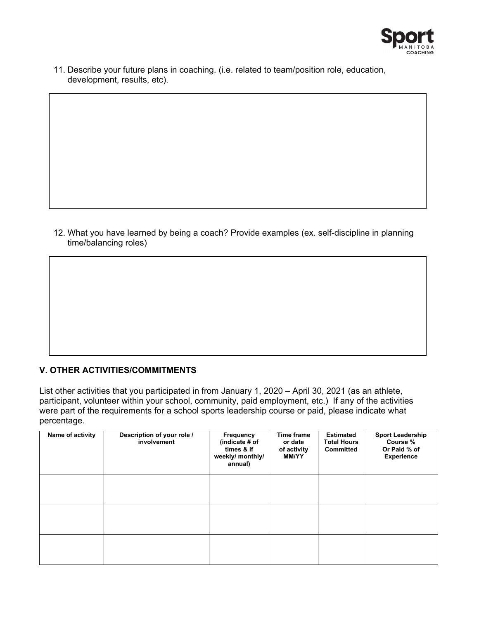

11. Describe your future plans in coaching. (i.e. related to team/position role, education, development, results, etc).

12. What you have learned by being a coach? Provide examples (ex. self-discipline in planning time/balancing roles)

## **V. OTHER ACTIVITIES/COMMITMENTS**

List other activities that you participated in from January 1, 2020 – April 30, 2021 (as an athlete, participant, volunteer within your school, community, paid employment, etc.) If any of the activities were part of the requirements for a school sports leadership course or paid, please indicate what percentage.

| Name of activity | Description of your role /<br>involvement | Frequency<br>(indicate # of<br>times & if<br>weekly/ monthly/<br>annual) | <b>Time frame</b><br>or date<br>of activity<br><b>MM/YY</b> | <b>Estimated</b><br><b>Total Hours</b><br><b>Committed</b> | <b>Sport Leadership</b><br>Course %<br>Or Paid % of<br><b>Experience</b> |
|------------------|-------------------------------------------|--------------------------------------------------------------------------|-------------------------------------------------------------|------------------------------------------------------------|--------------------------------------------------------------------------|
|                  |                                           |                                                                          |                                                             |                                                            |                                                                          |
|                  |                                           |                                                                          |                                                             |                                                            |                                                                          |
|                  |                                           |                                                                          |                                                             |                                                            |                                                                          |